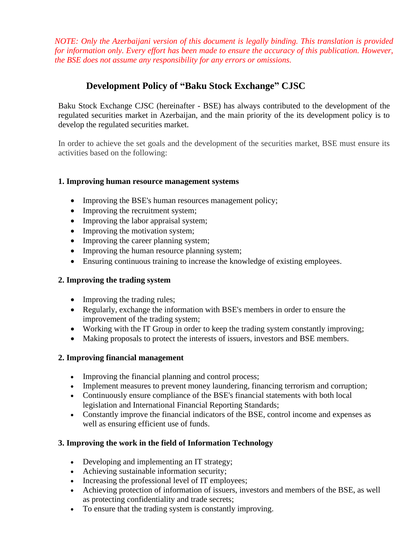*NOTE: Only the Azerbaijani version of this document is legally binding. This translation is provided for information only. Every effort has been made to ensure the accuracy of this publication. However, the BSE does not assume any responsibility for any errors or omissions.*

# **Development Policy of "Baku Stock Exchange" CJSC**

Baku Stock Exchange CJSC (hereinafter - BSE) has always contributed to the development of the regulated securities market in Azerbaijan, and the main priority of the its development policy is to develop the regulated securities market.

In order to achieve the set goals and the development of the securities market, BSE must ensure its activities based on the following:

#### **1. Improving human resource management systems**

- Improving the BSE's human resources management policy;
- Improving the recruitment system;
- Improving the labor appraisal system;
- Improving the motivation system;
- Improving the career planning system;
- Improving the human resource planning system;
- Ensuring continuous training to increase the knowledge of existing employees.

### **2. Improving the trading system**

- Improving the trading rules;
- Regularly, exchange the information with BSE's members in order to ensure the improvement of the trading system;
- Working with the IT Group in order to keep the trading system constantly improving;
- Making proposals to protect the interests of issuers, investors and BSE members.

### **2. Improving financial management**

- Improving the financial planning and control process;
- Implement measures to prevent money laundering, financing terrorism and corruption;
- Continuously ensure compliance of the BSE's financial statements with both local legislation and International Financial Reporting Standards;
- Constantly improve the financial indicators of the BSE, control income and expenses as well as ensuring efficient use of funds.

### **3. Improving the work in the field of Information Technology**

- Developing and implementing an IT strategy;
- Achieving sustainable information security;
- Increasing the professional level of IT employees;
- Achieving protection of information of issuers, investors and members of the BSE, as well as protecting confidentiality and trade secrets;
- To ensure that the trading system is constantly improving.